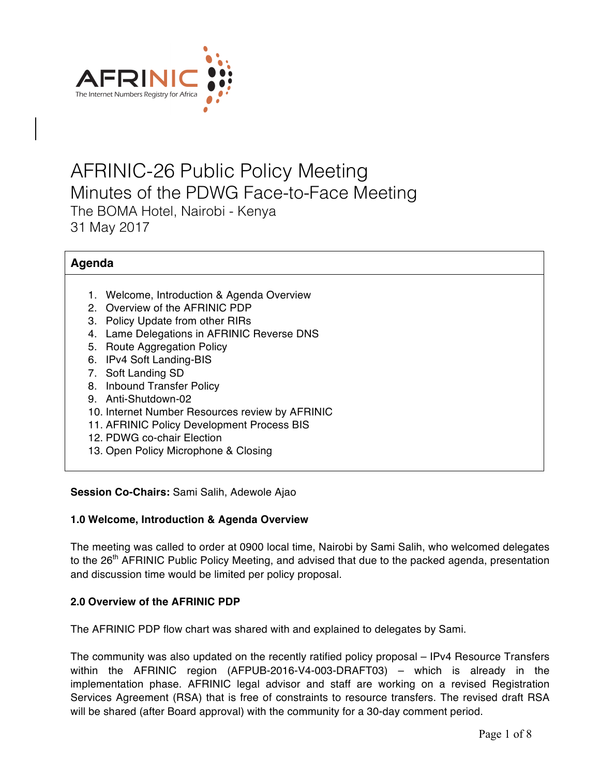

# AFRINIC-26 Public Policy Meeting Minutes of the PDWG Face-to-Face Meeting The BOMA Hotel, Nairobi - Kenya 31 May 2017

# **Agenda**

- 1. Welcome, Introduction & Agenda Overview
- 2. Overview of the AFRINIC PDP
- 3. Policy Update from other RIRs
- 4. Lame Delegations in AFRINIC Reverse DNS
- 5. Route Aggregation Policy
- 6. IPv4 Soft Landing-BIS
- 7. Soft Landing SD
- 8. Inbound Transfer Policy
- 9. Anti-Shutdown-02
- 10. Internet Number Resources review by AFRINIC
- 11. AFRINIC Policy Development Process BIS
- 12. PDWG co-chair Election
- 13. Open Policy Microphone & Closing

#### **Session Co-Chairs:** Sami Salih, Adewole Ajao

#### **1.0 Welcome, Introduction & Agenda Overview**

The meeting was called to order at 0900 local time, Nairobi by Sami Salih, who welcomed delegates to the 26<sup>th</sup> AFRINIC Public Policy Meeting, and advised that due to the packed agenda, presentation and discussion time would be limited per policy proposal.

#### **2.0 Overview of the AFRINIC PDP**

The AFRINIC PDP flow chart was shared with and explained to delegates by Sami.

The community was also updated on the recently ratified policy proposal – IPv4 Resource Transfers within the AFRINIC region (AFPUB-2016-V4-003-DRAFT03) – which is already in the implementation phase. AFRINIC legal advisor and staff are working on a revised Registration Services Agreement (RSA) that is free of constraints to resource transfers. The revised draft RSA will be shared (after Board approval) with the community for a 30-day comment period.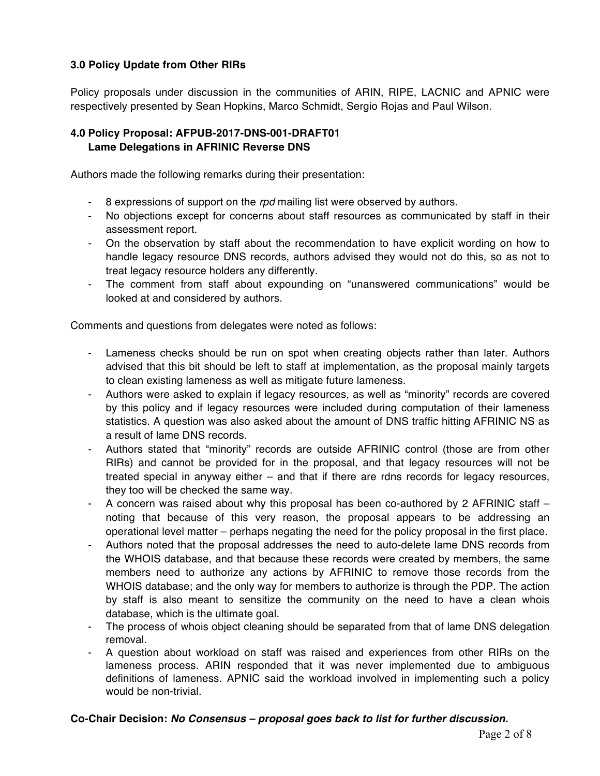## **3.0 Policy Update from Other RIRs**

Policy proposals under discussion in the communities of ARIN, RIPE, LACNIC and APNIC were respectively presented by Sean Hopkins, Marco Schmidt, Sergio Rojas and Paul Wilson.

#### **4.0 Policy Proposal: AFPUB-2017-DNS-001-DRAFT01 Lame Delegations in AFRINIC Reverse DNS**

Authors made the following remarks during their presentation:

- 8 expressions of support on the *rpd* mailing list were observed by authors.
- No objections except for concerns about staff resources as communicated by staff in their assessment report.
- On the observation by staff about the recommendation to have explicit wording on how to handle legacy resource DNS records, authors advised they would not do this, so as not to treat legacy resource holders any differently.
- The comment from staff about expounding on "unanswered communications" would be looked at and considered by authors.

Comments and questions from delegates were noted as follows:

- Lameness checks should be run on spot when creating objects rather than later. Authors advised that this bit should be left to staff at implementation, as the proposal mainly targets to clean existing lameness as well as mitigate future lameness.
- Authors were asked to explain if legacy resources, as well as "minority" records are covered by this policy and if legacy resources were included during computation of their lameness statistics. A question was also asked about the amount of DNS traffic hitting AFRINIC NS as a result of lame DNS records.
- Authors stated that "minority" records are outside AFRINIC control (those are from other RIRs) and cannot be provided for in the proposal, and that legacy resources will not be treated special in anyway either – and that if there are rdns records for legacy resources, they too will be checked the same way.
- A concern was raised about why this proposal has been co-authored by 2 AFRINIC staff noting that because of this very reason, the proposal appears to be addressing an operational level matter – perhaps negating the need for the policy proposal in the first place.
- Authors noted that the proposal addresses the need to auto-delete lame DNS records from the WHOIS database, and that because these records were created by members, the same members need to authorize any actions by AFRINIC to remove those records from the WHOIS database; and the only way for members to authorize is through the PDP. The action by staff is also meant to sensitize the community on the need to have a clean whois database, which is the ultimate goal.
- The process of whois object cleaning should be separated from that of lame DNS delegation removal.
- A question about workload on staff was raised and experiences from other RIRs on the lameness process. ARIN responded that it was never implemented due to ambiguous definitions of lameness. APNIC said the workload involved in implementing such a policy would be non-trivial.

#### **Co-Chair Decision:** *No Consensus – proposal goes back to list for further discussion.*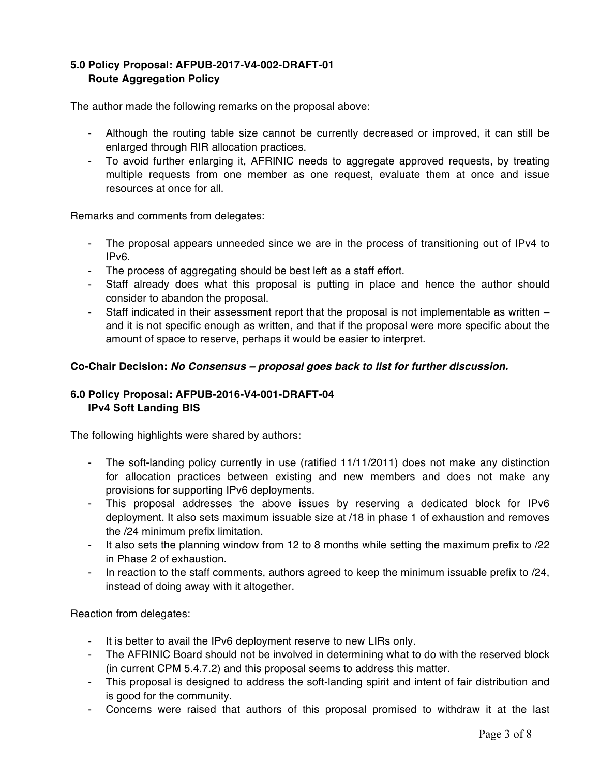## **5.0 Policy Proposal: AFPUB-2017-V4-002-DRAFT-01 Route Aggregation Policy**

The author made the following remarks on the proposal above:

- Although the routing table size cannot be currently decreased or improved, it can still be enlarged through RIR allocation practices.
- To avoid further enlarging it, AFRINIC needs to aggregate approved requests, by treating multiple requests from one member as one request, evaluate them at once and issue resources at once for all.

Remarks and comments from delegates:

- The proposal appears unneeded since we are in the process of transitioning out of IPv4 to IPv6.
- The process of aggregating should be best left as a staff effort.
- Staff already does what this proposal is putting in place and hence the author should consider to abandon the proposal.
- Staff indicated in their assessment report that the proposal is not implementable as written and it is not specific enough as written, and that if the proposal were more specific about the amount of space to reserve, perhaps it would be easier to interpret.

#### **Co-Chair Decision:** *No Consensus – proposal goes back to list for further discussion.*

#### **6.0 Policy Proposal: AFPUB-2016-V4-001-DRAFT-04 IPv4 Soft Landing BIS**

The following highlights were shared by authors:

- The soft-landing policy currently in use (ratified 11/11/2011) does not make any distinction for allocation practices between existing and new members and does not make any provisions for supporting IPv6 deployments.
- This proposal addresses the above issues by reserving a dedicated block for IPv6 deployment. It also sets maximum issuable size at /18 in phase 1 of exhaustion and removes the /24 minimum prefix limitation.
- It also sets the planning window from 12 to 8 months while setting the maximum prefix to /22 in Phase 2 of exhaustion.
- In reaction to the staff comments, authors agreed to keep the minimum issuable prefix to /24, instead of doing away with it altogether.

Reaction from delegates:

- It is better to avail the IPv6 deployment reserve to new LIRs only.
- The AFRINIC Board should not be involved in determining what to do with the reserved block (in current CPM 5.4.7.2) and this proposal seems to address this matter.
- This proposal is designed to address the soft-landing spirit and intent of fair distribution and is good for the community.
- Concerns were raised that authors of this proposal promised to withdraw it at the last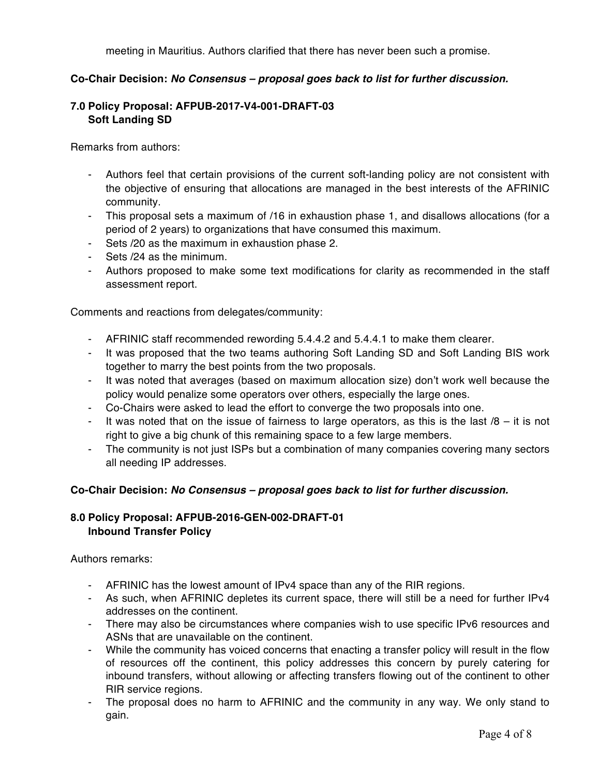meeting in Mauritius. Authors clarified that there has never been such a promise.

#### **Co-Chair Decision:** *No Consensus – proposal goes back to list for further discussion.*

## **7.0 Policy Proposal: AFPUB-2017-V4-001-DRAFT-03 Soft Landing SD**

Remarks from authors:

- Authors feel that certain provisions of the current soft-landing policy are not consistent with the objective of ensuring that allocations are managed in the best interests of the AFRINIC community.
- This proposal sets a maximum of /16 in exhaustion phase 1, and disallows allocations (for a period of 2 years) to organizations that have consumed this maximum.
- Sets /20 as the maximum in exhaustion phase 2.
- Sets /24 as the minimum.
- Authors proposed to make some text modifications for clarity as recommended in the staff assessment report.

Comments and reactions from delegates/community:

- AFRINIC staff recommended rewording 5.4.4.2 and 5.4.4.1 to make them clearer.
- It was proposed that the two teams authoring Soft Landing SD and Soft Landing BIS work together to marry the best points from the two proposals.
- It was noted that averages (based on maximum allocation size) don't work well because the policy would penalize some operators over others, especially the large ones.
- Co-Chairs were asked to lead the effort to converge the two proposals into one.
- It was noted that on the issue of fairness to large operators, as this is the last  $/8 -$  it is not right to give a big chunk of this remaining space to a few large members.
- The community is not just ISPs but a combination of many companies covering many sectors all needing IP addresses.

#### **Co-Chair Decision:** *No Consensus – proposal goes back to list for further discussion.*

## **8.0 Policy Proposal: AFPUB-2016-GEN-002-DRAFT-01 Inbound Transfer Policy**

Authors remarks:

- AFRINIC has the lowest amount of IPv4 space than any of the RIR regions.
- As such, when AFRINIC depletes its current space, there will still be a need for further IPv4 addresses on the continent.
- There may also be circumstances where companies wish to use specific IPv6 resources and ASNs that are unavailable on the continent.
- While the community has voiced concerns that enacting a transfer policy will result in the flow of resources off the continent, this policy addresses this concern by purely catering for inbound transfers, without allowing or affecting transfers flowing out of the continent to other RIR service regions.
- The proposal does no harm to AFRINIC and the community in any way. We only stand to gain.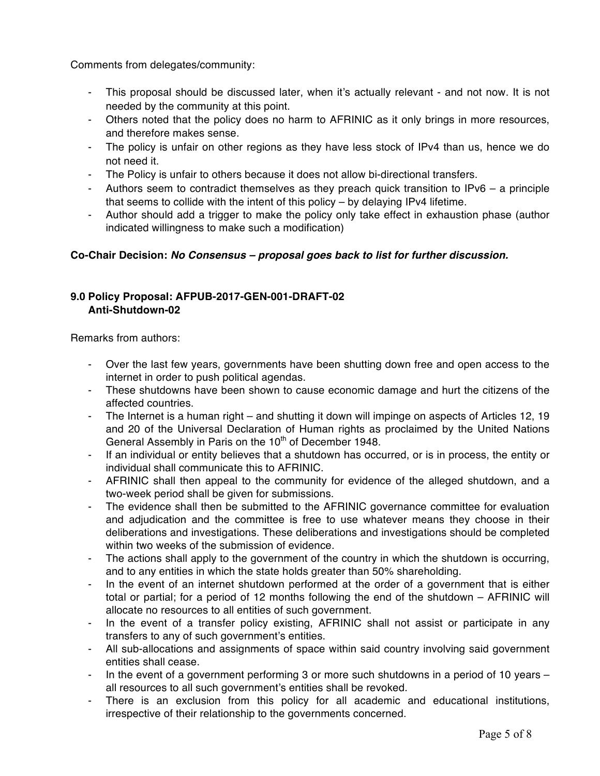Comments from delegates/community:

- This proposal should be discussed later, when it's actually relevant and not now. It is not needed by the community at this point.
- Others noted that the policy does no harm to AFRINIC as it only brings in more resources, and therefore makes sense.
- The policy is unfair on other regions as they have less stock of IPv4 than us, hence we do not need it.
- The Policy is unfair to others because it does not allow bi-directional transfers.
- Authors seem to contradict themselves as they preach quick transition to IPv6 a principle that seems to collide with the intent of this policy – by delaying IPv4 lifetime.
- Author should add a trigger to make the policy only take effect in exhaustion phase (author indicated willingness to make such a modification)

## **Co-Chair Decision:** *No Consensus – proposal goes back to list for further discussion.*

## **9.0 Policy Proposal: AFPUB-2017-GEN-001-DRAFT-02 Anti-Shutdown-02**

Remarks from authors:

- Over the last few years, governments have been shutting down free and open access to the internet in order to push political agendas.
- These shutdowns have been shown to cause economic damage and hurt the citizens of the affected countries.
- The Internet is a human right and shutting it down will impinge on aspects of Articles 12, 19 and 20 of the Universal Declaration of Human rights as proclaimed by the United Nations General Assembly in Paris on the 10<sup>th</sup> of December 1948.
- If an individual or entity believes that a shutdown has occurred, or is in process, the entity or individual shall communicate this to AFRINIC.
- AFRINIC shall then appeal to the community for evidence of the alleged shutdown, and a two-week period shall be given for submissions.
- The evidence shall then be submitted to the AFRINIC governance committee for evaluation and adjudication and the committee is free to use whatever means they choose in their deliberations and investigations. These deliberations and investigations should be completed within two weeks of the submission of evidence.
- The actions shall apply to the government of the country in which the shutdown is occurring, and to any entities in which the state holds greater than 50% shareholding.
- In the event of an internet shutdown performed at the order of a government that is either total or partial; for a period of 12 months following the end of the shutdown – AFRINIC will allocate no resources to all entities of such government.
- In the event of a transfer policy existing, AFRINIC shall not assist or participate in any transfers to any of such government's entities.
- All sub-allocations and assignments of space within said country involving said government entities shall cease.
- In the event of a government performing 3 or more such shutdowns in a period of 10 years all resources to all such government's entities shall be revoked.
- There is an exclusion from this policy for all academic and educational institutions, irrespective of their relationship to the governments concerned.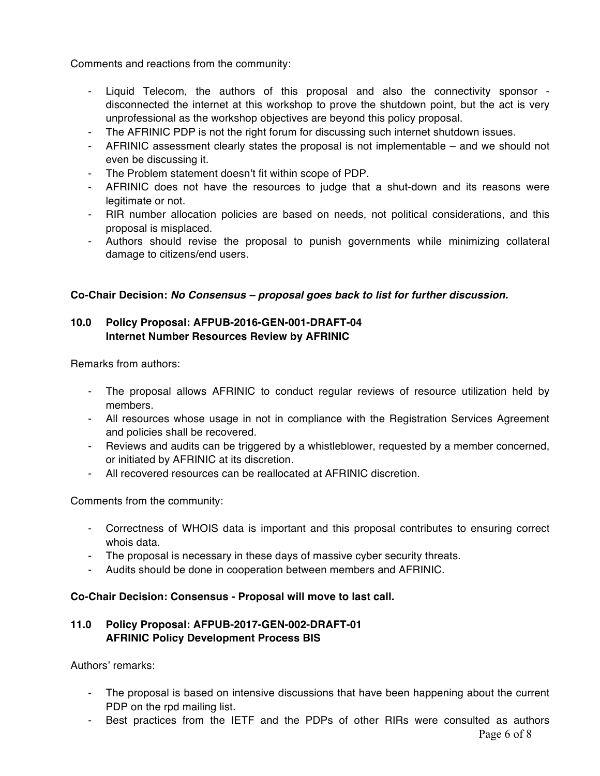Comments and reactions from the community:

- Liquid Telecom, the authors of this proposal and also the connectivity sponsor disconnected the internet at this workshop to prove the shutdown point, but the act is very unprofessional as the workshop objectives are beyond this policy proposal.
- The AFRINIC PDP is not the right forum for discussing such internet shutdown issues.
- AFRINIC assessment clearly states the proposal is not implementable and we should not even be discussing it.
- The Problem statement doesn't fit within scope of PDP.
- AFRINIC does not have the resources to judge that a shut-down and its reasons were legitimate or not.
- RIR number allocation policies are based on needs, not political considerations, and this proposal is misplaced.
- Authors should revise the proposal to punish governments while minimizing collateral damage to citizens/end users.

## **Co-Chair Decision:** *No Consensus – proposal goes back to list for further discussion.*

# **10.0 Policy Proposal: AFPUB-2016-GEN-001-DRAFT-04 Internet Number Resources Review by AFRINIC**

Remarks from authors:

- The proposal allows AFRINIC to conduct regular reviews of resource utilization held by members.
- All resources whose usage in not in compliance with the Registration Services Agreement and policies shall be recovered.
- Reviews and audits can be triggered by a whistleblower, requested by a member concerned, or initiated by AFRINIC at its discretion.
- All recovered resources can be reallocated at AFRINIC discretion.

Comments from the community:

- Correctness of WHOIS data is important and this proposal contributes to ensuring correct whois data.
- The proposal is necessary in these days of massive cyber security threats.
- Audits should be done in cooperation between members and AFRINIC.

## **Co-Chair Decision: Consensus - Proposal will move to last call.**

## **11.0 Policy Proposal: AFPUB-2017-GEN-002-DRAFT-01 AFRINIC Policy Development Process BIS**

Authors' remarks:

- The proposal is based on intensive discussions that have been happening about the current PDP on the rpd mailing list.
- Best practices from the IETF and the PDPs of other RIRs were consulted as authors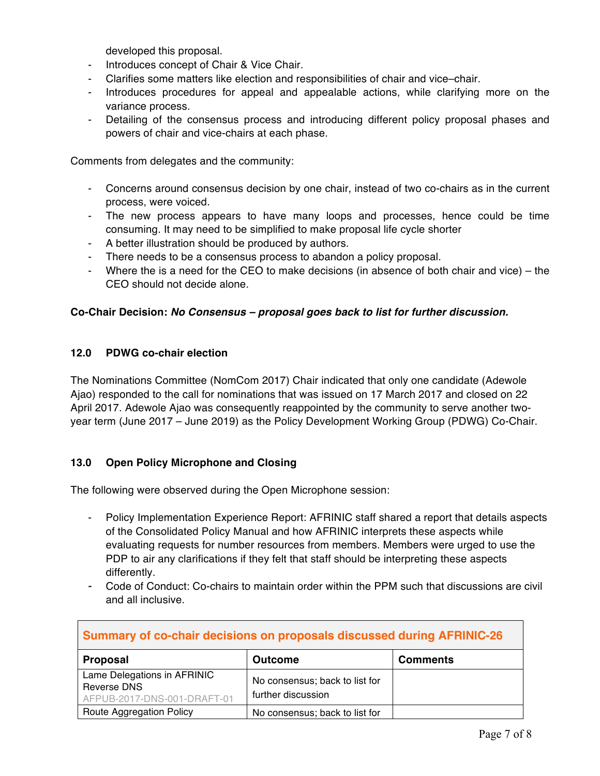developed this proposal.

- Introduces concept of Chair & Vice Chair.
- Clarifies some matters like election and responsibilities of chair and vice–chair.
- Introduces procedures for appeal and appealable actions, while clarifying more on the variance process.
- Detailing of the consensus process and introducing different policy proposal phases and powers of chair and vice-chairs at each phase.

Comments from delegates and the community:

- Concerns around consensus decision by one chair, instead of two co-chairs as in the current process, were voiced.
- The new process appears to have many loops and processes, hence could be time consuming. It may need to be simplified to make proposal life cycle shorter
- A better illustration should be produced by authors.
- There needs to be a consensus process to abandon a policy proposal.
- Where the is a need for the CEO to make decisions (in absence of both chair and vice) the CEO should not decide alone.

#### **Co-Chair Decision:** *No Consensus – proposal goes back to list for further discussion.*

#### **12.0 PDWG co-chair election**

The Nominations Committee (NomCom 2017) Chair indicated that only one candidate (Adewole Ajao) responded to the call for nominations that was issued on 17 March 2017 and closed on 22 April 2017. Adewole Ajao was consequently reappointed by the community to serve another twoyear term (June 2017 – June 2019) as the Policy Development Working Group (PDWG) Co-Chair.

#### **13.0 Open Policy Microphone and Closing**

The following were observed during the Open Microphone session:

- Policy Implementation Experience Report: AFRINIC staff shared a report that details aspects of the Consolidated Policy Manual and how AFRINIC interprets these aspects while evaluating requests for number resources from members. Members were urged to use the PDP to air any clarifications if they felt that staff should be interpreting these aspects differently.
- Code of Conduct: Co-chairs to maintain order within the PPM such that discussions are civil and all inclusive.

| Summary of co-chair decisions on proposals discussed during AFRINIC-26    |                                                      |                 |  |
|---------------------------------------------------------------------------|------------------------------------------------------|-----------------|--|
| Proposal                                                                  | <b>Outcome</b>                                       | <b>Comments</b> |  |
| Lame Delegations in AFRINIC<br>Reverse DNS<br>AFPUB-2017-DNS-001-DRAFT-01 | No consensus; back to list for<br>further discussion |                 |  |
| Route Aggregation Policy                                                  | No consensus; back to list for                       |                 |  |